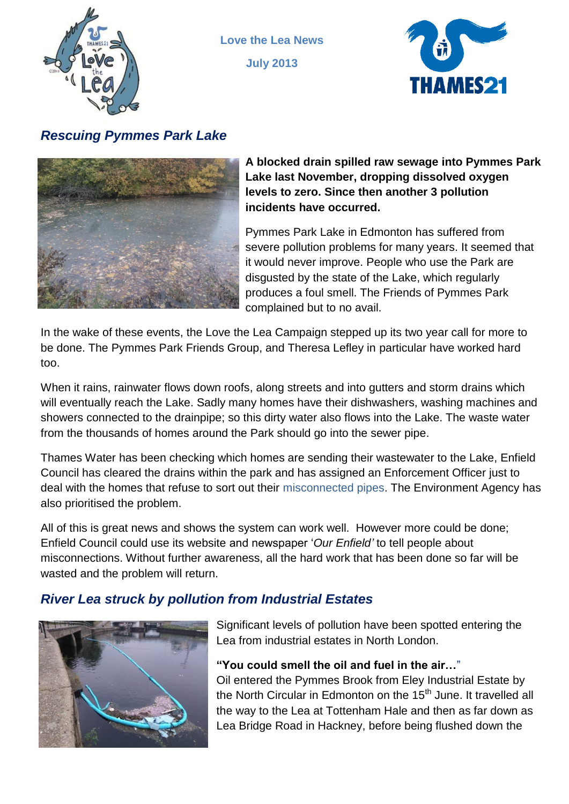

**Love the Lea News July 2013**



# *Rescuing Pymmes Park Lake*



**A blocked drain spilled raw sewage into Pymmes Park Lake last November, dropping dissolved oxygen levels to zero. Since then another 3 pollution incidents have occurred.**

Pymmes Park Lake in Edmonton has suffered from severe pollution problems for many years. It seemed that it would never improve. People who use the Park are disgusted by the state of the Lake, which regularly produces a foul smell. The Friends of Pymmes Park complained but to no avail.

In the wake of these events, the Love the Lea Campaign stepped up its two year call for more to be done. The Pymmes Park Friends Group, and Theresa Lefley in particular have worked hard too.

When it rains, rainwater flows down roofs, along streets and into gutters and storm drains which will eventually reach the Lake. Sadly many homes have their dishwashers, washing machines and showers connected to the drainpipe; so this dirty water also flows into the Lake. The waste water from the thousands of homes around the Park should go into the sewer pipe.

Thames Water has been checking which homes are sending their wastewater to the Lake, Enfield Council has cleared the drains within the park and has assigned an Enforcement Officer just to deal with the homes that refuse to sort out their misconnected pipes. The Environment Agency has also prioritised the problem.

All of this is great news and shows the system can work well. However more could be done; Enfield Council could use its website and newspaper '*Our Enfield'* to tell people about misconnections. Without further awareness, all the hard work that has been done so far will be wasted and the problem will return.

# *River Lea struck by pollution from Industrial Estates*



Significant levels of pollution have been spotted entering the Lea from industrial estates in North London.

### **"You could smell the oil and fuel in the air…**"

Oil entered the Pymmes Brook from Eley Industrial Estate by the North Circular in Edmonton on the 15<sup>th</sup> June. It travelled all the way to the Lea at Tottenham Hale and then as far down as Lea Bridge Road in Hackney, before being flushed down the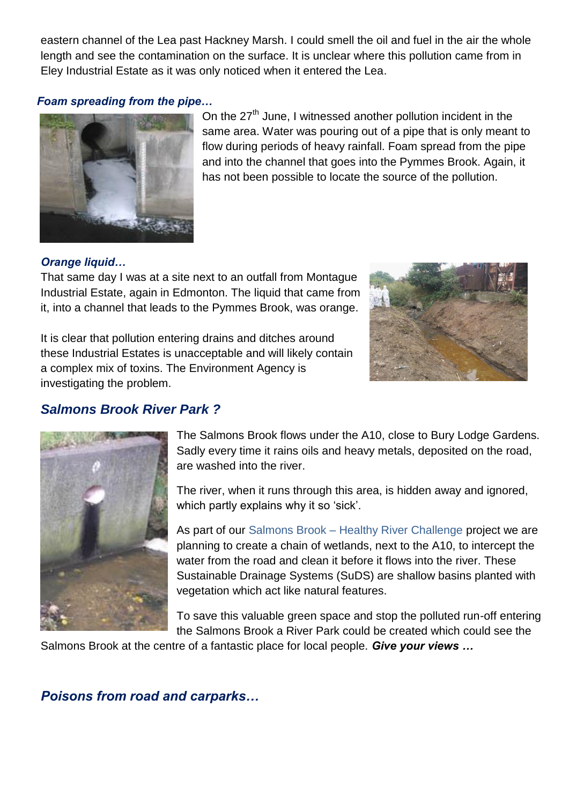eastern channel of the Lea past Hackney Marsh. I could smell the oil and fuel in the air the whole length and see the contamination on the surface. It is unclear where this pollution came from in Eley Industrial Estate as it was only noticed when it entered the Lea.

#### *Foam spreading from the pipe…*



On the 27<sup>th</sup> June, I witnessed another pollution incident in the same area. Water was pouring out of a pipe that is only meant to flow during periods of heavy rainfall. Foam spread from the pipe and into the channel that goes into the Pymmes Brook. Again, it has not been possible to locate the source of the pollution.

#### *Orange liquid…*

That same day I was at a site next to an outfall from Montague Industrial Estate, again in Edmonton. The liquid that came from it, into a channel that leads to the Pymmes Brook, was orange.

It is clear that pollution entering drains and ditches around these Industrial Estates is unacceptable and will likely contain a complex mix of toxins. The Environment Agency is investigating the problem.



## *Salmons Brook River Park ?*



The Salmons Brook flows under the A10, close to Bury Lodge Gardens. Sadly every time it rains oils and heavy metals, deposited on the road, are washed into the river.

The river, when it runs through this area, is hidden away and ignored, which partly explains why it so 'sick'.

As part of our Salmons Brook – Healthy River Challenge project we are planning to create a chain of wetlands, next to the A10, to intercept the water from the road and clean it before it flows into the river. These Sustainable Drainage Systems (SuDS) are shallow basins planted with vegetation which act like natural features.

To save this valuable green space and stop the polluted run-off entering the Salmons Brook a River Park could be created which could see the

Salmons Brook at the centre of a fantastic place for local people. *Give your views …*

*Poisons from road and carparks…*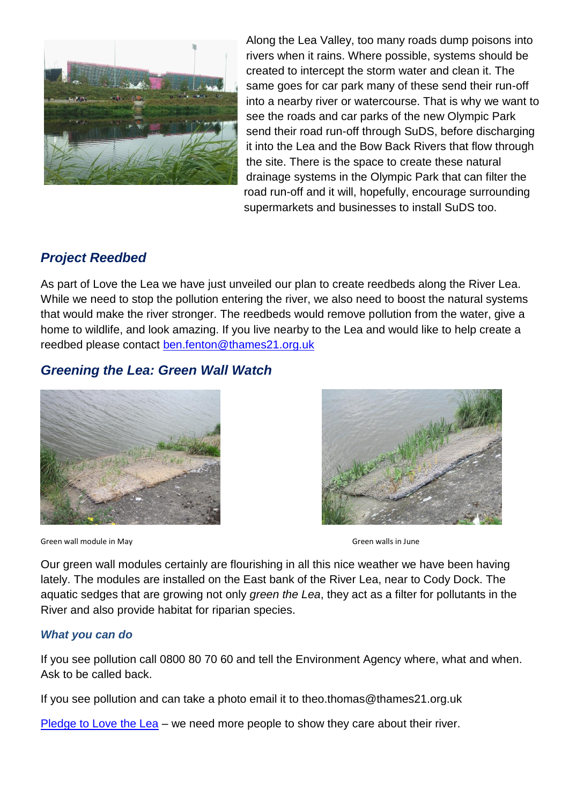

Along the Lea Valley, too many roads dump poisons into rivers when it rains. Where possible, systems should be created to intercept the storm water and clean it. The same goes for car park many of these send their run-off into a nearby river or watercourse. That is why we want to see the roads and car parks of the new Olympic Park send their road run-off through SuDS, before discharging it into the Lea and the Bow Back Rivers that flow through the site. There is the space to create these natural drainage systems in the Olympic Park that can filter the road run-off and it will, hopefully, encourage surrounding supermarkets and businesses to install SuDS too.

## *Project Reedbed*

As part of Love the Lea we have just unveiled our plan to create reedbeds along the River Lea. While we need to stop the pollution entering the river, we also need to boost the natural systems that would make the river stronger. The reedbeds would remove pollution from the water, give a home to wildlife, and look amazing. If you live nearby to the Lea and would like to help create a reedbed please contact [ben.fenton@thames21.org.uk](mailto:ben.fenton@thames21.org.uk)

## *Greening the Lea: Green Wall Watch*





Green wall module in May Green walls in June

Our green wall modules certainly are flourishing in all this nice weather we have been having lately. The modules are installed on the East bank of the River Lea, near to Cody Dock. The aquatic sedges that are growing not only *green the Lea*, they act as a filter for pollutants in the River and also provide habitat for riparian species.

#### *What you can do*

If you see pollution call 0800 80 70 60 and tell the Environment Agency where, what and when. Ask to be called back.

If you see pollution and can take a photo email it to theo.thomas@thames21.org.uk

[Pledge to Love the Lea](http://www.thames21.org.uk/pledgeyourlovetothelea/) – we need more people to show they care about their river.